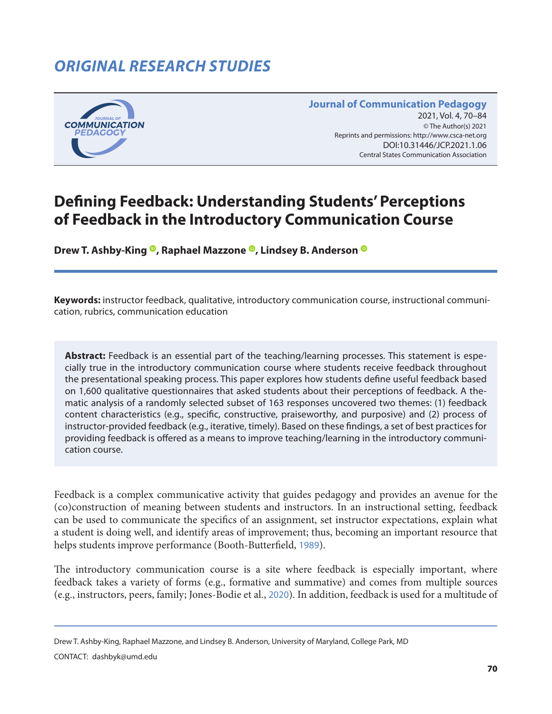# *ORIGINAL RESEARCH STUDIES*



**Journal of Communication Pedagogy** 2021, Vol. 4, 70-84 © The Author(s) 2021 Reprints and permissions: <http://www.csca-net.org> 2021, Vol. 4, 70–842021Reprints and permissions:<http://www.csca-net.org> DOI:10.31446/JCP.2021.1.06 Central States Communication Association Central States Communication Association

# **Defining Feedback: Understanding Students' Perceptions of Feedback in the Introductory Communication Course**

**DrewT. Ashby-King <sup>®</sup>, Raphael Mazzone <sup>®</sup>, Lindsey B. Anderson <sup>®</sup>** 

**Keywords:** instructor feedback, qualitative, introductory communication course, instructional communication, rubrics, communication education

**Abstract:** Feedback is an essential part of the teaching/learning processes. This statement is especially true in the introductory communication course where students receive feedback throughout the presentational speaking process. This paper explores how students define useful feedback based on 1,600 qualitative questionnaires that asked students about their perceptions of feedback. A thematic analysis of a randomly selected subset of 163 responses uncovered two themes: (1) feedback content characteristics (e.g., specific, constructive, praiseworthy, and purposive) and (2) process of instructor-provided feedback (e.g., iterative, timely). Based on these findings, a set of best practices for providing feedback is offered as a means to improve teaching/learning in the introductory communication course.

Feedback is a complex communicative activity that guides pedagogy and provides an avenue for the (co)construction of meaning between students and instructors. In an instructional setting, feedback can be used to communicate the specifics of an assignment, set instructor expectations, explain what a student is doing well, and identify areas of improvement; thus, becoming an important resource that helps students improve performance (Booth-Butterfield, [1989](#page-12-0)).

The introductory communication course is a site where feedback is especially important, where feedback takes a variety of forms (e.g., formative and summative) and comes from multiple sources (e.g., instructors, peers, family; Jones-Bodie et al., [2020](#page-13-0)). In addition, feedback is used for a multitude of

Drew T. Ashby-King, Raphael Mazzone, and Lindsey B. Anderson, University of Maryland, College Park, MD

CONTACT: dashbyk@umd.edu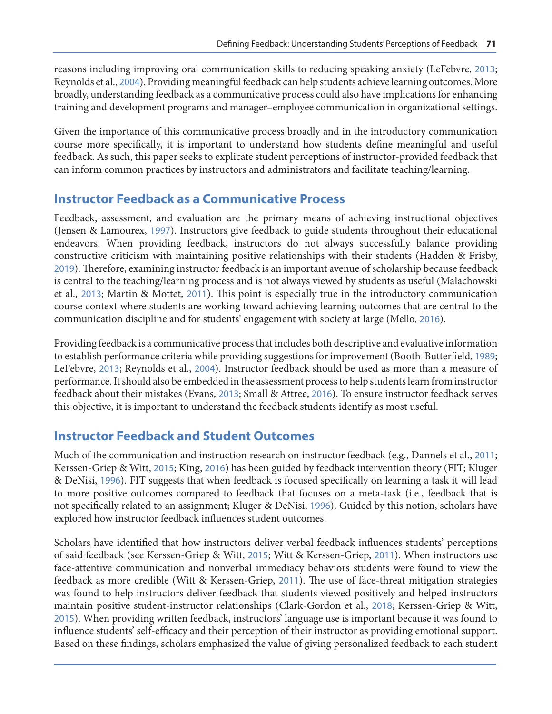reasons including improving oral communication skills to reducing speaking anxiety (LeFebvre, [2013](#page-13-0); Reynolds et al., [2004](#page-14-0)). Providing meaningful feedback can help students achieve learning outcomes. More broadly, understanding feedback as a communicative process could also have implications for enhancing training and development programs and manager–employee communication in organizational settings.

Given the importance of this communicative process broadly and in the introductory communication course more specifically, it is important to understand how students define meaningful and useful feedback. As such, this paper seeks to explicate student perceptions of instructor-provided feedback that can inform common practices by instructors and administrators and facilitate teaching/learning.

### **Instructor Feedback as a Communicative Process**

Feedback, assessment, and evaluation are the primary means of achieving instructional objectives (Jensen & Lamourex, [1997](#page-13-0)). Instructors give feedback to guide students throughout their educational endeavors. When providing feedback, instructors do not always successfully balance providing constructive criticism with maintaining positive relationships with their students (Hadden & Frisby, [2019](#page-13-0)). Therefore, examining instructor feedback is an important avenue of scholarship because feedback is central to the teaching/learning process and is not always viewed by students as useful (Malachowski et al., [2013](#page-14-0); Martin & Mottet, [2011](#page-14-0)). This point is especially true in the introductory communication course context where students are working toward achieving learning outcomes that are central to the communication discipline and for students' engagement with society at large (Mello, [2016](#page-14-0)).

Providing feedback is a communicative process that includes both descriptive and evaluative information to establish performance criteria while providing suggestions for improvement (Booth-Butterfield, [1989](#page-12-0); LeFebvre, [2013](#page-13-0); Reynolds et al., [2004](#page-14-0)). Instructor feedback should be used as more than a measure of performance. It should also be embedded in the assessment process to help students learn from instructor feedback about their mistakes (Evans, [2013](#page-13-0); Small & Attree, [2016](#page-14-0)). To ensure instructor feedback serves this objective, it is important to understand the feedback students identify as most useful.

### **Instructor Feedback and Student Outcomes**

Much of the communication and instruction research on instructor feedback (e.g., Dannels et al., [2011](#page-12-0); Kerssen-Griep & Witt, [2015](#page-13-0); King, [2016](#page-13-0)) has been guided by feedback intervention theory (FIT; Kluger & DeNisi, [1996](#page-13-0)). FIT suggests that when feedback is focused specifically on learning a task it will lead to more positive outcomes compared to feedback that focuses on a meta-task (i.e., feedback that is not specifically related to an assignment; Kluger & DeNisi, [1996](#page-13-0)). Guided by this notion, scholars have explored how instructor feedback influences student outcomes.

Scholars have identified that how instructors deliver verbal feedback influences students' perceptions of said feedback (see Kerssen-Griep & Witt, [2015](#page-13-0); Witt & Kerssen-Griep, [2011](#page-14-0)). When instructors use face-attentive communication and nonverbal immediacy behaviors students were found to view the feedback as more credible (Witt & Kerssen-Griep, [2011](#page-14-0)). The use of face-threat mitigation strategies was found to help instructors deliver feedback that students viewed positively and helped instructors maintain positive student-instructor relationships (Clark-Gordon et al., [2018](#page-12-0); Kerssen-Griep & Witt, [2015](#page-13-0)). When providing written feedback, instructors' language use is important because it was found to influence students' self-efficacy and their perception of their instructor as providing emotional support. Based on these findings, scholars emphasized the value of giving personalized feedback to each student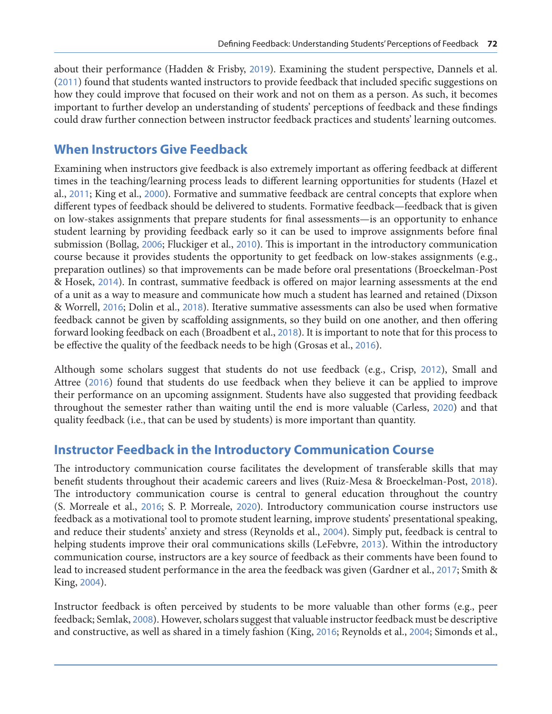about their performance (Hadden & Frisby, [2019](#page-13-0)). Examining the student perspective, Dannels et al. ([2011](#page-12-0)) found that students wanted instructors to provide feedback that included specific suggestions on how they could improve that focused on their work and not on them as a person. As such, it becomes important to further develop an understanding of students' perceptions of feedback and these findings could draw further connection between instructor feedback practices and students' learning outcomes.

### **When Instructors Give Feedback**

Examining when instructors give feedback is also extremely important as offering feedback at different times in the teaching/learning process leads to different learning opportunities for students (Hazel et al., [2011](#page-13-0); King et al., [2000](#page-13-0)). Formative and summative feedback are central concepts that explore when different types of feedback should be delivered to students. Formative feedback—feedback that is given on low-stakes assignments that prepare students for final assessments—is an opportunity to enhance student learning by providing feedback early so it can be used to improve assignments before final submission (Bollag, [2006](#page-12-0); Fluckiger et al., [2010](#page-13-0)). This is important in the introductory communication course because it provides students the opportunity to get feedback on low-stakes assignments (e.g., preparation outlines) so that improvements can be made before oral presentations (Broeckelman-Post & Hosek, [2014](#page-12-0)). In contrast, summative feedback is offered on major learning assessments at the end of a unit as a way to measure and communicate how much a student has learned and retained (Dixson & Worrell, [2016](#page-13-0); Dolin et al., [2018](#page-13-0)). Iterative summative assessments can also be used when formative feedback cannot be given by scaffolding assignments, so they build on one another, and then offering forward looking feedback on each (Broadbent et al., [2018](#page-12-0)). It is important to note that for this process to be effective the quality of the feedback needs to be high (Grosas et al., [2016](#page-13-0)).

Although some scholars suggest that students do not use feedback (e.g., Crisp, [2012](#page-12-0)), Small and Attree ([2016](#page-14-0)) found that students do use feedback when they believe it can be applied to improve their performance on an upcoming assignment. Students have also suggested that providing feedback throughout the semester rather than waiting until the end is more valuable (Carless, [2020](#page-12-0)) and that quality feedback (i.e., that can be used by students) is more important than quantity.

## **Instructor Feedback in the Introductory Communication Course**

The introductory communication course facilitates the development of transferable skills that may benefit students throughout their academic careers and lives (Ruiz-Mesa & Broeckelman-Post, [2018](#page-14-0)). The introductory communication course is central to general education throughout the country (S. Morreale et al., [2016](#page-14-0); S. P. Morreale, [2020](#page-14-0)). Introductory communication course instructors use feedback as a motivational tool to promote student learning, improve students' presentational speaking, and reduce their students' anxiety and stress (Reynolds et al., [2004](#page-14-0)). Simply put, feedback is central to helping students improve their oral communications skills (LeFebvre, [2013](#page-13-0)). Within the introductory communication course, instructors are a key source of feedback as their comments have been found to lead to increased student performance in the area the feedback was given (Gardner et al., [2017](#page-13-0); Smith & King, [2004](#page-14-0)).

Instructor feedback is often perceived by students to be more valuable than other forms (e.g., peer feedback; Semlak, [2008](#page-14-0)). However, scholars suggest that valuable instructor feedback must be descriptive and constructive, as well as shared in a timely fashion (King, [2016](#page-13-0); Reynolds et al., [2004](#page-14-0); Simonds et al.,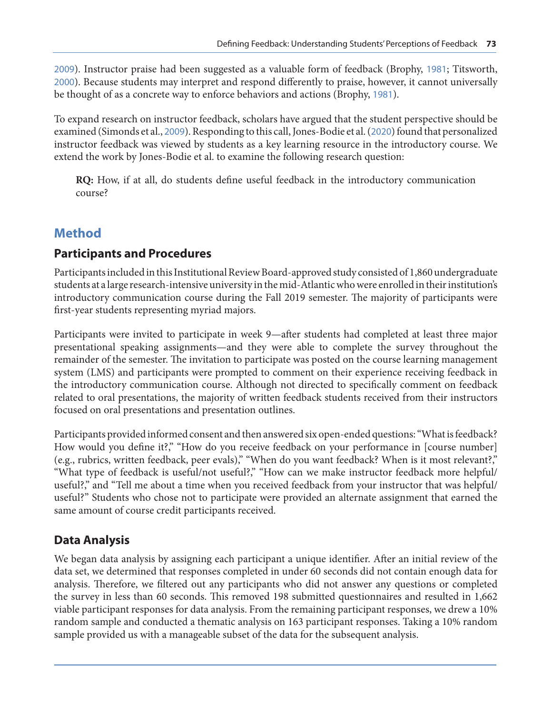[2009](#page-14-0)). Instructor praise had been suggested as a valuable form of feedback (Brophy, [1981](#page-12-0); Titsworth, [2000](#page-14-0)). Because students may interpret and respond differently to praise, however, it cannot universally be thought of as a concrete way to enforce behaviors and actions (Brophy, [1981](#page-12-0)).

To expand research on instructor feedback, scholars have argued that the student perspective should be examined (Simonds et al., [2009](#page-14-0)). Responding to this call, Jones-Bodie et al. ([2020](#page-13-0)) found that personalized instructor feedback was viewed by students as a key learning resource in the introductory course. We extend the work by Jones-Bodie et al. to examine the following research question:

**RQ:** How, if at all, do students define useful feedback in the introductory communication course?

## **Method**

## **Participants and Procedures**

Participants included in this Institutional Review Board-approved study consisted of 1,860 undergraduate students at a large research-intensive university in the mid-Atlantic who were enrolled in their institution's introductory communication course during the Fall 2019 semester. The majority of participants were first-year students representing myriad majors.

Participants were invited to participate in week 9—after students had completed at least three major presentational speaking assignments—and they were able to complete the survey throughout the remainder of the semester. The invitation to participate was posted on the course learning management system (LMS) and participants were prompted to comment on their experience receiving feedback in the introductory communication course. Although not directed to specifically comment on feedback related to oral presentations, the majority of written feedback students received from their instructors focused on oral presentations and presentation outlines.

Participants provided informed consent and then answered six open-ended questions: "What is feedback? How would you define it?," "How do you receive feedback on your performance in [course number] (e.g., rubrics, written feedback, peer evals)," "When do you want feedback? When is it most relevant?," "What type of feedback is useful/not useful?," "How can we make instructor feedback more helpful/ useful?," and "Tell me about a time when you received feedback from your instructor that was helpful/ useful?" Students who chose not to participate were provided an alternate assignment that earned the same amount of course credit participants received.

## **Data Analysis**

We began data analysis by assigning each participant a unique identifier. After an initial review of the data set, we determined that responses completed in under 60 seconds did not contain enough data for analysis. Therefore, we filtered out any participants who did not answer any questions or completed the survey in less than 60 seconds. This removed 198 submitted questionnaires and resulted in 1,662 viable participant responses for data analysis. From the remaining participant responses, we drew a 10% random sample and conducted a thematic analysis on 163 participant responses. Taking a 10% random sample provided us with a manageable subset of the data for the subsequent analysis.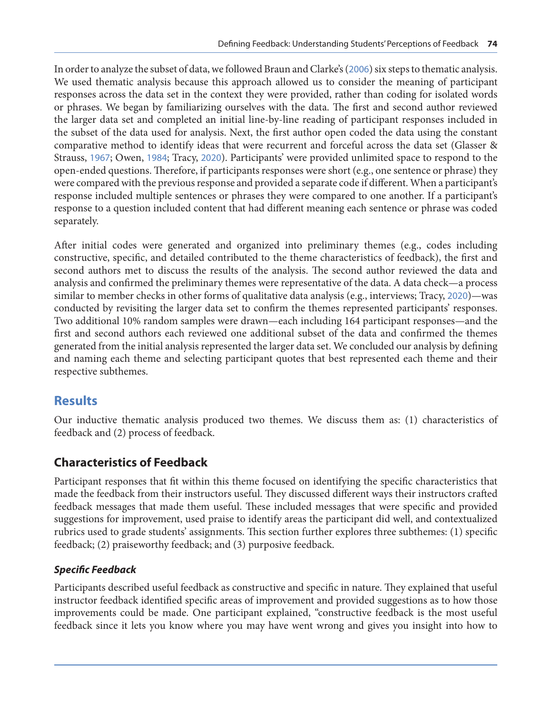In order to analyze the subset of data, we followed Braun and Clarke's ([2006](#page-12-0)) six steps to thematic analysis. We used thematic analysis because this approach allowed us to consider the meaning of participant responses across the data set in the context they were provided, rather than coding for isolated words or phrases. We began by familiarizing ourselves with the data. The first and second author reviewed the larger data set and completed an initial line-by-line reading of participant responses included in the subset of the data used for analysis. Next, the first author open coded the data using the constant comparative method to identify ideas that were recurrent and forceful across the data set (Glasser & Strauss, [1967](#page-13-0); Owen, [1984](#page-14-0); Tracy, [2020](#page-14-0)). Participants' were provided unlimited space to respond to the open-ended questions. Therefore, if participants responses were short (e.g., one sentence or phrase) they were compared with the previous response and provided a separate code if different. When a participant's response included multiple sentences or phrases they were compared to one another. If a participant's response to a question included content that had different meaning each sentence or phrase was coded separately.

After initial codes were generated and organized into preliminary themes (e.g., codes including constructive, specific, and detailed contributed to the theme characteristics of feedback), the first and second authors met to discuss the results of the analysis. The second author reviewed the data and analysis and confirmed the preliminary themes were representative of the data. A data check—a process similar to member checks in other forms of qualitative data analysis (e.g., interviews; Tracy, [2020](#page-14-0))—was conducted by revisiting the larger data set to confirm the themes represented participants' responses. Two additional 10% random samples were drawn—each including 164 participant responses—and the first and second authors each reviewed one additional subset of the data and confirmed the themes generated from the initial analysis represented the larger data set. We concluded our analysis by defining and naming each theme and selecting participant quotes that best represented each theme and their respective subthemes.

## **Results**

Our inductive thematic analysis produced two themes. We discuss them as: (1) characteristics of feedback and (2) process of feedback.

## **Characteristics of Feedback**

Participant responses that fit within this theme focused on identifying the specific characteristics that made the feedback from their instructors useful. They discussed different ways their instructors crafted feedback messages that made them useful. These included messages that were specific and provided suggestions for improvement, used praise to identify areas the participant did well, and contextualized rubrics used to grade students' assignments. This section further explores three subthemes: (1) specific feedback; (2) praiseworthy feedback; and (3) purposive feedback.

### *Specific Feedback*

Participants described useful feedback as constructive and specific in nature. They explained that useful instructor feedback identified specific areas of improvement and provided suggestions as to how those improvements could be made. One participant explained, "constructive feedback is the most useful feedback since it lets you know where you may have went wrong and gives you insight into how to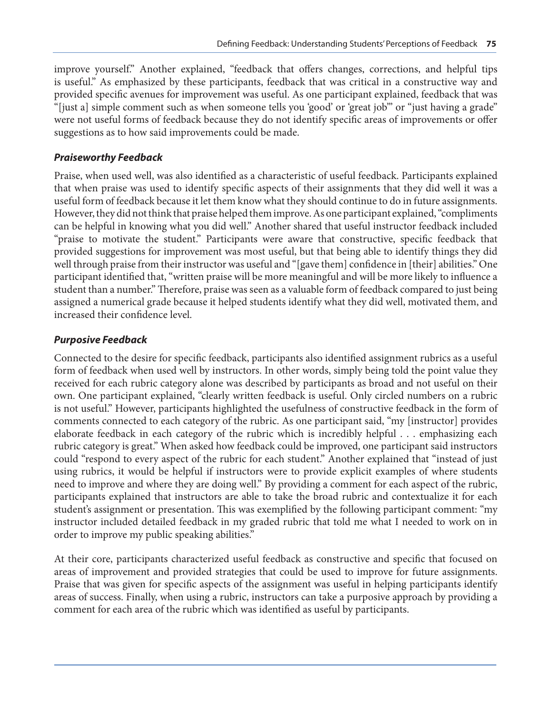improve yourself." Another explained, "feedback that offers changes, corrections, and helpful tips is useful." As emphasized by these participants, feedback that was critical in a constructive way and provided specific avenues for improvement was useful. As one participant explained, feedback that was "[just a] simple comment such as when someone tells you 'good' or 'great job'" or "just having a grade" were not useful forms of feedback because they do not identify specific areas of improvements or offer suggestions as to how said improvements could be made.

#### *Praiseworthy Feedback*

Praise, when used well, was also identified as a characteristic of useful feedback. Participants explained that when praise was used to identify specific aspects of their assignments that they did well it was a useful form of feedback because it let them know what they should continue to do in future assignments. However, they did not think that praise helped them improve. As one participant explained, "compliments can be helpful in knowing what you did well." Another shared that useful instructor feedback included "praise to motivate the student." Participants were aware that constructive, specific feedback that provided suggestions for improvement was most useful, but that being able to identify things they did well through praise from their instructor was useful and "[gave them] confidence in [their] abilities." One participant identified that, "written praise will be more meaningful and will be more likely to influence a student than a number." Therefore, praise was seen as a valuable form of feedback compared to just being assigned a numerical grade because it helped students identify what they did well, motivated them, and increased their confidence level.

#### *Purposive Feedback*

Connected to the desire for specific feedback, participants also identified assignment rubrics as a useful form of feedback when used well by instructors. In other words, simply being told the point value they received for each rubric category alone was described by participants as broad and not useful on their own. One participant explained, "clearly written feedback is useful. Only circled numbers on a rubric is not useful." However, participants highlighted the usefulness of constructive feedback in the form of comments connected to each category of the rubric. As one participant said, "my [instructor] provides elaborate feedback in each category of the rubric which is incredibly helpful . . . emphasizing each rubric category is great." When asked how feedback could be improved, one participant said instructors could "respond to every aspect of the rubric for each student." Another explained that "instead of just using rubrics, it would be helpful if instructors were to provide explicit examples of where students need to improve and where they are doing well." By providing a comment for each aspect of the rubric, participants explained that instructors are able to take the broad rubric and contextualize it for each student's assignment or presentation. This was exemplified by the following participant comment: "my instructor included detailed feedback in my graded rubric that told me what I needed to work on in order to improve my public speaking abilities."

At their core, participants characterized useful feedback as constructive and specific that focused on areas of improvement and provided strategies that could be used to improve for future assignments. Praise that was given for specific aspects of the assignment was useful in helping participants identify areas of success. Finally, when using a rubric, instructors can take a purposive approach by providing a comment for each area of the rubric which was identified as useful by participants.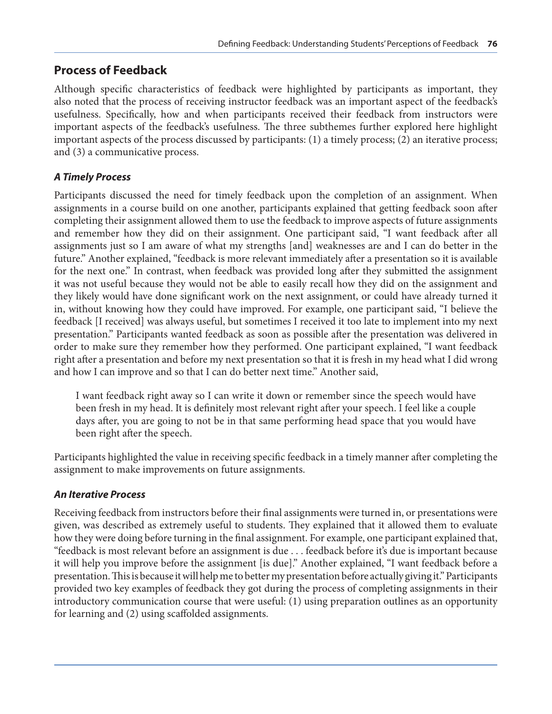## **Process of Feedback**

Although specific characteristics of feedback were highlighted by participants as important, they also noted that the process of receiving instructor feedback was an important aspect of the feedback's usefulness. Specifically, how and when participants received their feedback from instructors were important aspects of the feedback's usefulness. The three subthemes further explored here highlight important aspects of the process discussed by participants: (1) a timely process; (2) an iterative process; and (3) a communicative process.

#### *A Timely Process*

Participants discussed the need for timely feedback upon the completion of an assignment. When assignments in a course build on one another, participants explained that getting feedback soon after completing their assignment allowed them to use the feedback to improve aspects of future assignments and remember how they did on their assignment. One participant said, "I want feedback after all assignments just so I am aware of what my strengths [and] weaknesses are and I can do better in the future." Another explained, "feedback is more relevant immediately after a presentation so it is available for the next one." In contrast, when feedback was provided long after they submitted the assignment it was not useful because they would not be able to easily recall how they did on the assignment and they likely would have done significant work on the next assignment, or could have already turned it in, without knowing how they could have improved. For example, one participant said, "I believe the feedback [I received] was always useful, but sometimes I received it too late to implement into my next presentation." Participants wanted feedback as soon as possible after the presentation was delivered in order to make sure they remember how they performed. One participant explained, "I want feedback right after a presentation and before my next presentation so that it is fresh in my head what I did wrong and how I can improve and so that I can do better next time." Another said,

I want feedback right away so I can write it down or remember since the speech would have been fresh in my head. It is definitely most relevant right after your speech. I feel like a couple days after, you are going to not be in that same performing head space that you would have been right after the speech.

Participants highlighted the value in receiving specific feedback in a timely manner after completing the assignment to make improvements on future assignments.

#### *An Iterative Process*

Receiving feedback from instructors before their final assignments were turned in, or presentations were given, was described as extremely useful to students. They explained that it allowed them to evaluate how they were doing before turning in the final assignment. For example, one participant explained that, "feedback is most relevant before an assignment is due . . . feedback before it's due is important because it will help you improve before the assignment [is due]." Another explained, "I want feedback before a presentation. This is because it will help me to better my presentation before actually giving it." Participants provided two key examples of feedback they got during the process of completing assignments in their introductory communication course that were useful: (1) using preparation outlines as an opportunity for learning and (2) using scaffolded assignments.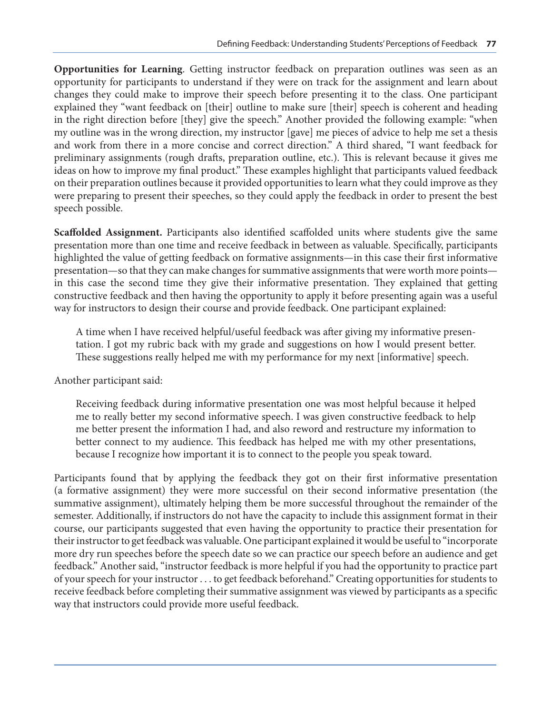**Opportunities for Learning**. Getting instructor feedback on preparation outlines was seen as an opportunity for participants to understand if they were on track for the assignment and learn about changes they could make to improve their speech before presenting it to the class. One participant explained they "want feedback on [their] outline to make sure [their] speech is coherent and heading in the right direction before [they] give the speech." Another provided the following example: "when my outline was in the wrong direction, my instructor [gave] me pieces of advice to help me set a thesis and work from there in a more concise and correct direction." A third shared, "I want feedback for preliminary assignments (rough drafts, preparation outline, etc.). This is relevant because it gives me ideas on how to improve my final product." These examples highlight that participants valued feedback on their preparation outlines because it provided opportunities to learn what they could improve as they were preparing to present their speeches, so they could apply the feedback in order to present the best speech possible.

**Scaffolded Assignment.** Participants also identified scaffolded units where students give the same presentation more than one time and receive feedback in between as valuable. Specifically, participants highlighted the value of getting feedback on formative assignments—in this case their first informative presentation—so that they can make changes for summative assignments that were worth more points in this case the second time they give their informative presentation. They explained that getting constructive feedback and then having the opportunity to apply it before presenting again was a useful way for instructors to design their course and provide feedback. One participant explained:

A time when I have received helpful/useful feedback was after giving my informative presentation. I got my rubric back with my grade and suggestions on how I would present better. These suggestions really helped me with my performance for my next [informative] speech.

Another participant said:

Receiving feedback during informative presentation one was most helpful because it helped me to really better my second informative speech. I was given constructive feedback to help me better present the information I had, and also reword and restructure my information to better connect to my audience. This feedback has helped me with my other presentations, because I recognize how important it is to connect to the people you speak toward.

Participants found that by applying the feedback they got on their first informative presentation (a formative assignment) they were more successful on their second informative presentation (the summative assignment), ultimately helping them be more successful throughout the remainder of the semester. Additionally, if instructors do not have the capacity to include this assignment format in their course, our participants suggested that even having the opportunity to practice their presentation for their instructor to get feedback was valuable. One participant explained it would be useful to "incorporate more dry run speeches before the speech date so we can practice our speech before an audience and get feedback." Another said, "instructor feedback is more helpful if you had the opportunity to practice part of your speech for your instructor . . . to get feedback beforehand." Creating opportunities for students to receive feedback before completing their summative assignment was viewed by participants as a specific way that instructors could provide more useful feedback.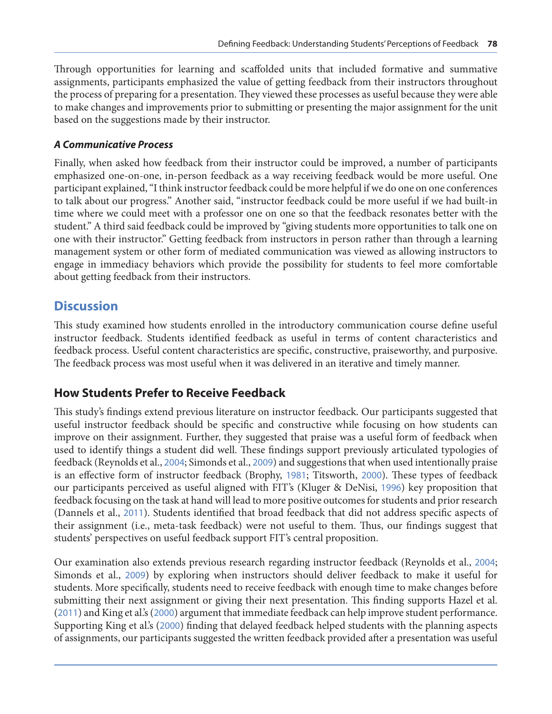Through opportunities for learning and scaffolded units that included formative and summative assignments, participants emphasized the value of getting feedback from their instructors throughout the process of preparing for a presentation. They viewed these processes as useful because they were able to make changes and improvements prior to submitting or presenting the major assignment for the unit based on the suggestions made by their instructor.

#### *A Communicative Process*

Finally, when asked how feedback from their instructor could be improved, a number of participants emphasized one-on-one, in-person feedback as a way receiving feedback would be more useful. One participant explained, "I think instructor feedback could be more helpful if we do one on one conferences to talk about our progress." Another said, "instructor feedback could be more useful if we had built-in time where we could meet with a professor one on one so that the feedback resonates better with the student." A third said feedback could be improved by "giving students more opportunities to talk one on one with their instructor." Getting feedback from instructors in person rather than through a learning management system or other form of mediated communication was viewed as allowing instructors to engage in immediacy behaviors which provide the possibility for students to feel more comfortable about getting feedback from their instructors.

## **Discussion**

This study examined how students enrolled in the introductory communication course define useful instructor feedback. Students identified feedback as useful in terms of content characteristics and feedback process. Useful content characteristics are specific, constructive, praiseworthy, and purposive. The feedback process was most useful when it was delivered in an iterative and timely manner.

## **How Students Prefer to Receive Feedback**

This study's findings extend previous literature on instructor feedback. Our participants suggested that useful instructor feedback should be specific and constructive while focusing on how students can improve on their assignment. Further, they suggested that praise was a useful form of feedback when used to identify things a student did well. These findings support previously articulated typologies of feedback (Reynolds et al., [2004](#page-14-0); Simonds et al., [2009](#page-14-0)) and suggestions that when used intentionally praise is an effective form of instructor feedback (Brophy, [1981](#page-12-0); Titsworth, [2000](#page-14-0)). These types of feedback our participants perceived as useful aligned with FIT's (Kluger & DeNisi, [1996](#page-13-0)) key proposition that feedback focusing on the task at hand will lead to more positive outcomes for students and prior research (Dannels et al., [2011](#page-12-0)). Students identified that broad feedback that did not address specific aspects of their assignment (i.e., meta-task feedback) were not useful to them. Thus, our findings suggest that students' perspectives on useful feedback support FIT's central proposition.

Our examination also extends previous research regarding instructor feedback (Reynolds et al., [2004](#page-14-0); Simonds et al., [2009](#page-14-0)) by exploring when instructors should deliver feedback to make it useful for students. More specifically, students need to receive feedback with enough time to make changes before submitting their next assignment or giving their next presentation. This finding supports Hazel et al. ([2011](#page-13-0)) and King et al.'s ([2000](#page-13-0)) argument that immediate feedback can help improve student performance. Supporting King et al.'s ([2000](#page-13-0)) finding that delayed feedback helped students with the planning aspects of assignments, our participants suggested the written feedback provided after a presentation was useful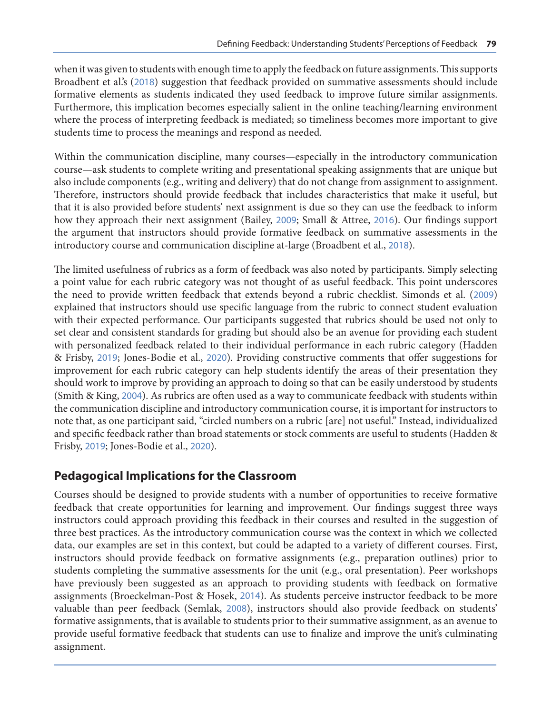when it was given to students with enough time to apply the feedback on future assignments. This supports Broadbent et al.'s ([2018](#page-12-0)) suggestion that feedback provided on summative assessments should include formative elements as students indicated they used feedback to improve future similar assignments. Furthermore, this implication becomes especially salient in the online teaching/learning environment where the process of interpreting feedback is mediated; so timeliness becomes more important to give students time to process the meanings and respond as needed.

Within the communication discipline, many courses—especially in the introductory communication course—ask students to complete writing and presentational speaking assignments that are unique but also include components (e.g., writing and delivery) that do not change from assignment to assignment. Therefore, instructors should provide feedback that includes characteristics that make it useful, but that it is also provided before students' next assignment is due so they can use the feedback to inform how they approach their next assignment (Bailey, [2009](#page-12-0); Small & Attree, [2016](#page-14-0)). Our findings support the argument that instructors should provide formative feedback on summative assessments in the introductory course and communication discipline at-large (Broadbent et al., [2018](#page-12-0)).

The limited usefulness of rubrics as a form of feedback was also noted by participants. Simply selecting a point value for each rubric category was not thought of as useful feedback. This point underscores the need to provide written feedback that extends beyond a rubric checklist. Simonds et al. ([2009](#page-14-0)) explained that instructors should use specific language from the rubric to connect student evaluation with their expected performance. Our participants suggested that rubrics should be used not only to set clear and consistent standards for grading but should also be an avenue for providing each student with personalized feedback related to their individual performance in each rubric category (Hadden & Frisby, [2019](#page-13-0); Jones-Bodie et al., [2020](#page-13-0)). Providing constructive comments that offer suggestions for improvement for each rubric category can help students identify the areas of their presentation they should work to improve by providing an approach to doing so that can be easily understood by students (Smith & King, [2004](#page-14-0)). As rubrics are often used as a way to communicate feedback with students within the communication discipline and introductory communication course, it is important for instructors to note that, as one participant said, "circled numbers on a rubric [are] not useful." Instead, individualized and specific feedback rather than broad statements or stock comments are useful to students (Hadden & Frisby, [2019](#page-13-0); Jones-Bodie et al., [2020](#page-13-0)).

## **Pedagogical Implications for the Classroom**

Courses should be designed to provide students with a number of opportunities to receive formative feedback that create opportunities for learning and improvement. Our findings suggest three ways instructors could approach providing this feedback in their courses and resulted in the suggestion of three best practices. As the introductory communication course was the context in which we collected data, our examples are set in this context, but could be adapted to a variety of different courses. First, instructors should provide feedback on formative assignments (e.g., preparation outlines) prior to students completing the summative assessments for the unit (e.g., oral presentation). Peer workshops have previously been suggested as an approach to providing students with feedback on formative assignments (Broeckelman-Post & Hosek, [2014](#page-12-0)). As students perceive instructor feedback to be more valuable than peer feedback (Semlak, [2008](#page-14-0)), instructors should also provide feedback on students' formative assignments, that is available to students prior to their summative assignment, as an avenue to provide useful formative feedback that students can use to finalize and improve the unit's culminating assignment.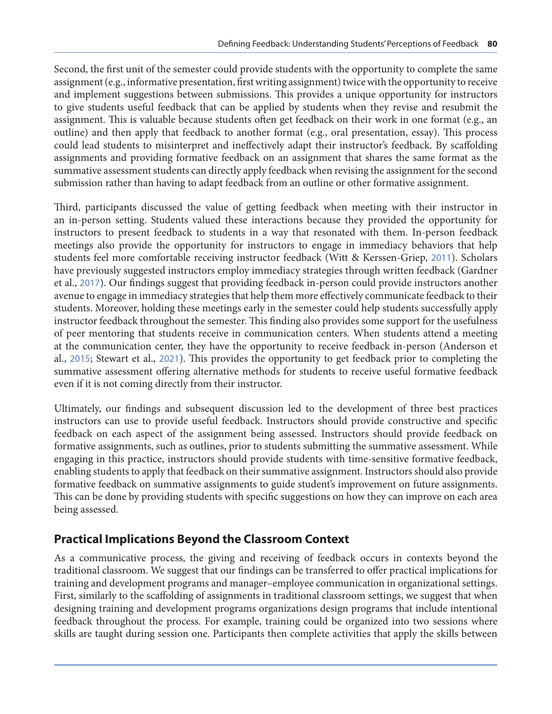Second, the first unit of the semester could provide students with the opportunity to complete the same assignment (e.g., informative presentation, first writing assignment) twice with the opportunity to receive and implement suggestions between submissions. This provides a unique opportunity for instructors to give students useful feedback that can be applied by students when they revise and resubmit the assignment. This is valuable because students often get feedback on their work in one format (e.g., an outline) and then apply that feedback to another format (e.g., oral presentation, essay). This process could lead students to misinterpret and ineffectively adapt their instructor's feedback. By scaffolding assignments and providing formative feedback on an assignment that shares the same format as the summative assessment students can directly apply feedback when revising the assignment for the second submission rather than having to adapt feedback from an outline or other formative assignment.

Third, participants discussed the value of getting feedback when meeting with their instructor in an in-person setting. Students valued these interactions because they provided the opportunity for instructors to present feedback to students in a way that resonated with them. In-person feedback meetings also provide the opportunity for instructors to engage in immediacy behaviors that help students feel more comfortable receiving instructor feedback (Witt & Kerssen-Griep, [2011](#page-14-0)). Scholars have previously suggested instructors employ immediacy strategies through written feedback (Gardner et al., [2017](#page-13-0)). Our findings suggest that providing feedback in-person could provide instructors another avenue to engage in immediacy strategies that help them more effectively communicate feedback to their students. Moreover, holding these meetings early in the semester could help students successfully apply instructor feedback throughout the semester. This finding also provides some support for the usefulness of peer mentoring that students receive in communication centers. When students attend a meeting at the communication center, they have the opportunity to receive feedback in-person (Anderson et al., [2015](#page-12-0); Stewart et al., [2021](#page-14-0)). This provides the opportunity to get feedback prior to completing the summative assessment offering alternative methods for students to receive useful formative feedback even if it is not coming directly from their instructor.

Ultimately, our findings and subsequent discussion led to the development of three best practices instructors can use to provide useful feedback. Instructors should provide constructive and specific feedback on each aspect of the assignment being assessed. Instructors should provide feedback on formative assignments, such as outlines, prior to students submitting the summative assessment. While engaging in this practice, instructors should provide students with time-sensitive formative feedback, enabling students to apply that feedback on their summative assignment. Instructors should also provide formative feedback on summative assignments to guide student's improvement on future assignments. This can be done by providing students with specific suggestions on how they can improve on each area being assessed.

## **Practical Implications Beyond the Classroom Context**

As a communicative process, the giving and receiving of feedback occurs in contexts beyond the traditional classroom. We suggest that our findings can be transferred to offer practical implications for training and development programs and manager–employee communication in organizational settings. First, similarly to the scaffolding of assignments in traditional classroom settings, we suggest that when designing training and development programs organizations design programs that include intentional feedback throughout the process. For example, training could be organized into two sessions where skills are taught during session one. Participants then complete activities that apply the skills between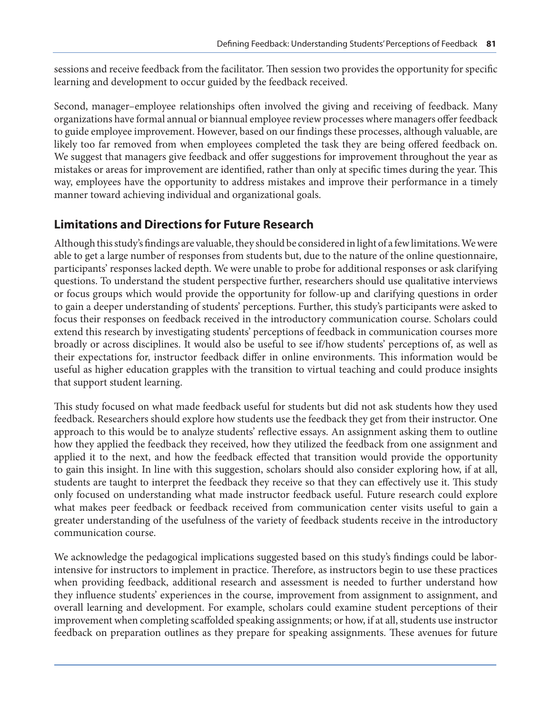sessions and receive feedback from the facilitator. Then session two provides the opportunity for specific learning and development to occur guided by the feedback received.

Second, manager–employee relationships often involved the giving and receiving of feedback. Many organizations have formal annual or biannual employee review processes where managers offer feedback to guide employee improvement. However, based on our findings these processes, although valuable, are likely too far removed from when employees completed the task they are being offered feedback on. We suggest that managers give feedback and offer suggestions for improvement throughout the year as mistakes or areas for improvement are identified, rather than only at specific times during the year. This way, employees have the opportunity to address mistakes and improve their performance in a timely manner toward achieving individual and organizational goals.

## **Limitations and Directions for Future Research**

Although this study's findings are valuable, they should be considered in light of a few limitations. We were able to get a large number of responses from students but, due to the nature of the online questionnaire, participants' responses lacked depth. We were unable to probe for additional responses or ask clarifying questions. To understand the student perspective further, researchers should use qualitative interviews or focus groups which would provide the opportunity for follow-up and clarifying questions in order to gain a deeper understanding of students' perceptions. Further, this study's participants were asked to focus their responses on feedback received in the introductory communication course. Scholars could extend this research by investigating students' perceptions of feedback in communication courses more broadly or across disciplines. It would also be useful to see if/how students' perceptions of, as well as their expectations for, instructor feedback differ in online environments. This information would be useful as higher education grapples with the transition to virtual teaching and could produce insights that support student learning.

This study focused on what made feedback useful for students but did not ask students how they used feedback. Researchers should explore how students use the feedback they get from their instructor. One approach to this would be to analyze students' reflective essays. An assignment asking them to outline how they applied the feedback they received, how they utilized the feedback from one assignment and applied it to the next, and how the feedback effected that transition would provide the opportunity to gain this insight. In line with this suggestion, scholars should also consider exploring how, if at all, students are taught to interpret the feedback they receive so that they can effectively use it. This study only focused on understanding what made instructor feedback useful. Future research could explore what makes peer feedback or feedback received from communication center visits useful to gain a greater understanding of the usefulness of the variety of feedback students receive in the introductory communication course.

We acknowledge the pedagogical implications suggested based on this study's findings could be laborintensive for instructors to implement in practice. Therefore, as instructors begin to use these practices when providing feedback, additional research and assessment is needed to further understand how they influence students' experiences in the course, improvement from assignment to assignment, and overall learning and development. For example, scholars could examine student perceptions of their improvement when completing scaffolded speaking assignments; or how, if at all, students use instructor feedback on preparation outlines as they prepare for speaking assignments. These avenues for future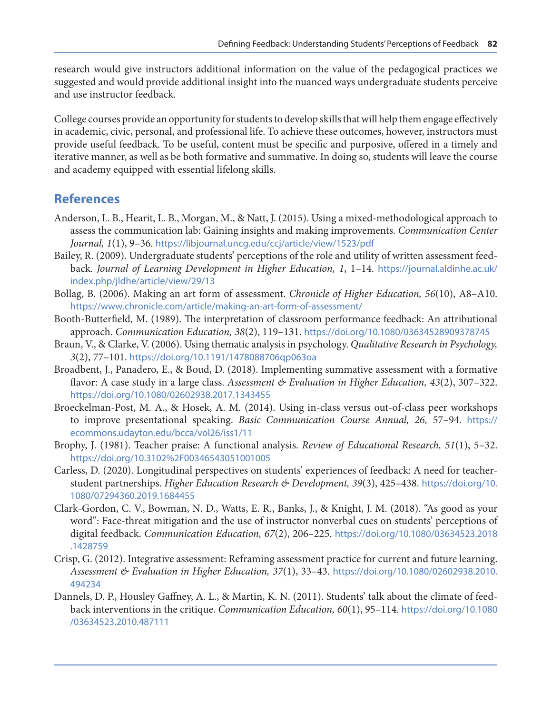<span id="page-12-0"></span>research would give instructors additional information on the value of the pedagogical practices we suggested and would provide additional insight into the nuanced ways undergraduate students perceive and use instructor feedback.

College courses provide an opportunity for students to develop skills that will help them engage effectively in academic, civic, personal, and professional life. To achieve these outcomes, however, instructors must provide useful feedback. To be useful, content must be specific and purposive, offered in a timely and iterative manner, as well as be both formative and summative. In doing so, students will leave the course and academy equipped with essential lifelong skills.

## **References**

- Anderson, L. B., Hearit, L. B., Morgan, M., & Natt, J. (2015). Using a mixed-methodological approach to assess the communication lab: Gaining insights and making improvements. *Communication Center Journal, 1*(1), 9–36. <https://libjournal.uncg.edu/ccj/article/view/1523/pdf>
- Bailey, R. (2009). Undergraduate students' perceptions of the role and utility of written assessment feedback. *Journal of Learning Development in Higher Education, 1*, 1–14. [https://journal.aldinhe.ac.uk/](https://journal.aldinhe.ac.uk/index.php/jldhe/article/view/29/13) [index.php/jldhe/article/view/29/13](https://journal.aldinhe.ac.uk/index.php/jldhe/article/view/29/13)
- Bollag, B. (2006). Making an art form of assessment. *Chronicle of Higher Education, 56*(10), A8–A10. <https://www.chronicle.com/article/making-an-art-form-of-assessment/>
- Booth-Butterfield, M. (1989). The interpretation of classroom performance feedback: An attributional approach. *Communication Education, 38*(2), 119–131. <https://doi.org/10.1080/03634528909378745>
- Braun, V., & Clarke, V. (2006). Using thematic analysis in psychology. *Qualitative Research in Psychology, 3*(2), 77–101. <https://doi.org/10.1191/1478088706qp063oa>
- Broadbent, J., Panadero, E., & Boud, D. (2018). Implementing summative assessment with a formative flavor: A case study in a large class. *Assessment & Evaluation in Higher Education*, 43(2), 307–322. <https://doi.org/10.1080/02602938.2017.1343455>
- Broeckelman-Post, M. A., & Hosek, A. M. (2014). Using in-class versus out-of-class peer workshops to improve presentational speaking. *Basic Communication Course Annual, 26,* 57–94. [https://](https://ecommons.udayton.edu/bcca/vol26/iss1/11) [ecommons.udayton.edu/bcca/vol26/iss1/11](https://ecommons.udayton.edu/bcca/vol26/iss1/11)
- Brophy, J. (1981). Teacher praise: A functional analysis. *Review of Educational Research, 51*(1), 5–32. <https://doi.org/10.3102%2F00346543051001005>
- Carless, D. (2020). Longitudinal perspectives on students' experiences of feedback: A need for teacherstudent partnerships. *Higher Education Research & Development, 39*(3), 425–438. [https://doi.org/10.](https://doi.org/10.1080/07294360.2019.1684455) [1080/07294360.2019.1684455](https://doi.org/10.1080/07294360.2019.1684455)
- Clark-Gordon, C. V., Bowman, N. D., Watts, E. R., Banks, J., & Knight, J. M. (2018). "As good as your word": Face-threat mitigation and the use of instructor nonverbal cues on students' perceptions of digital feedback. *Communication Education, 67*(2), 206–225. [https://doi.org/10.1080/03634523.2018](https://doi.org/10.1080/03634523.2018.1428759) [.1428759](https://doi.org/10.1080/03634523.2018.1428759)
- Crisp, G. (2012). Integrative assessment: Reframing assessment practice for current and future learning. *Assessment & Evaluation in Higher Education, 37*(1), 33–43. [https://doi.org/10.1080/02602938.2010.](https://doi.org/10.1080/02602938.2010.494234) [494234](https://doi.org/10.1080/02602938.2010.494234)
- Dannels, D. P., Housley Gaffney, A. L., & Martin, K. N. (2011). Students' talk about the climate of feedback interventions in the critique. *Communication Education, 60*(1), 95–114. [https://doi.org/10.1080](https://doi.org/10.1080/03634523.2010.487111) [/03634523.2010.487111](https://doi.org/10.1080/03634523.2010.487111)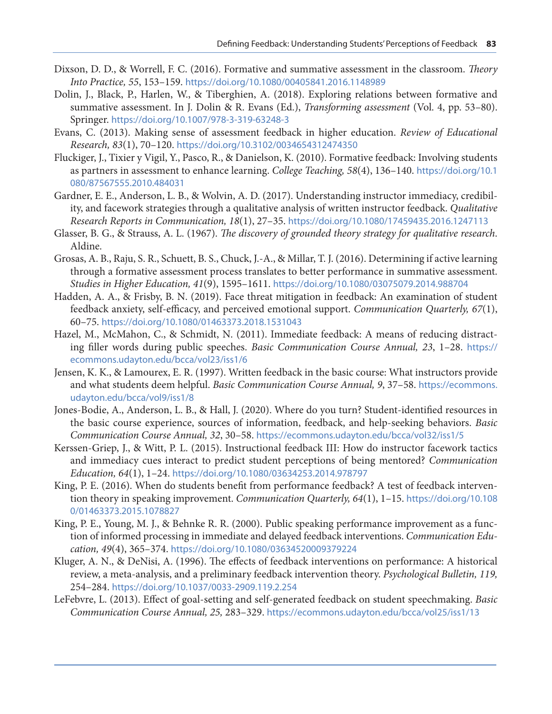- <span id="page-13-0"></span>Dixson, D. D., & Worrell, F. C. (2016). Formative and summative assessment in the classroom. *Theory Into Practice, 55*, 153–159. <https://doi.org/10.1080/00405841.2016.1148989>
- Dolin, J., Black, P., Harlen, W., & Tiberghien, A. (2018). Exploring relations between formative and summative assessment. In J. Dolin & R. Evans (Ed.), *Transforming assessment* (Vol. 4, pp. 53–80). Springer. <https://doi.org/10.1007/978-3-319-63248-3>
- Evans, C. (2013). Making sense of assessment feedback in higher education. *Review of Educational Research, 83*(1), 70–120. <https://doi.org/10.3102/0034654312474350>
- Fluckiger, J., Tixier y Vigil, Y., Pasco, R., & Danielson, K. (2010). Formative feedback: Involving students as partners in assessment to enhance learning. *College Teaching, 58*(4), 136–140. [https://doi.org/10.1](https://doi.org/10.1080/87567555.2010.484031) [080/87567555.2010.484031](https://doi.org/10.1080/87567555.2010.484031)
- Gardner, E. E., Anderson, L. B., & Wolvin, A. D. (2017). Understanding instructor immediacy, credibility, and facework strategies through a qualitative analysis of written instructor feedback. *Qualitative Research Reports in Communication, 18*(1), 27–35. <https://doi.org/10.1080/17459435.2016.1247113>
- Glasser, B. G., & Strauss, A. L. (1967). *The discovery of grounded theory strategy for qualitative research*. Aldine.
- Grosas, A. B., Raju, S. R., Schuett, B. S., Chuck, J.-A., & Millar, T. J. (2016). Determining if active learning through a formative assessment process translates to better performance in summative assessment. *Studies in Higher Education, 41*(9), 1595–1611. <https://doi.org/10.1080/03075079.2014.988704>
- Hadden, A. A., & Frisby, B. N. (2019). Face threat mitigation in feedback: An examination of student feedback anxiety, self-efficacy, and perceived emotional support. *Communication Quarterly, 67*(1), 60–75. <https://doi.org/10.1080/01463373.2018.1531043>
- Hazel, M., McMahon, C., & Schmidt, N. (2011). Immediate feedback: A means of reducing distracting filler words during public speeches. *Basic Communication Course Annual, 23*, 1–28. [https://](https://ecommons.udayton.edu/bcca/vol23/iss1/6) [ecommons.udayton.edu/bcca/vol23/iss1/6](https://ecommons.udayton.edu/bcca/vol23/iss1/6)
- Jensen, K. K., & Lamourex, E. R. (1997). Written feedback in the basic course: What instructors provide and what students deem helpful. *Basic Communication Course Annual, 9*, 37–58. [https://ecommons.](https://ecommons.udayton.edu/bcca/vol9/iss1/8) [udayton.edu/bcca/vol9/iss1/8](https://ecommons.udayton.edu/bcca/vol9/iss1/8)
- Jones-Bodie, A., Anderson, L. B., & Hall, J. (2020). Where do you turn? Student-identified resources in the basic course experience, sources of information, feedback, and help-seeking behaviors. *Basic Communication Course Annual, 32*, 30–58. <https://ecommons.udayton.edu/bcca/vol32/iss1/5>
- Kerssen-Griep, J., & Witt, P. L. (2015). Instructional feedback III: How do instructor facework tactics and immediacy cues interact to predict student perceptions of being mentored? *Communication Education, 64*(1), 1–24. <https://doi.org/10.1080/03634253.2014.978797>
- King, P. E. (2016). When do students benefit from performance feedback? A test of feedback intervention theory in speaking improvement. *Communication Quarterly, 64*(1), 1–15. [https://doi.org/10.108](https://doi.org/10.1080/01463373.2015.1078827) [0/01463373.2015.1078827](https://doi.org/10.1080/01463373.2015.1078827)
- King, P. E., Young, M. J., & Behnke R. R. (2000). Public speaking performance improvement as a function of informed processing in immediate and delayed feedback interventions. *Communication Education, 49*(4), 365–374. <https://doi.org/10.1080/03634520009379224>
- Kluger, A. N., & DeNisi, A. (1996). The effects of feedback interventions on performance: A historical review, a meta-analysis, and a preliminary feedback intervention theory. *Psychological Bulletin, 119,* 254–284. <https://doi.org/10.1037/0033-2909.119.2.254>
- LeFebvre, L. (2013). Effect of goal-setting and self-generated feedback on student speechmaking. *Basic Communication Course Annual, 25,* 283–329. <https://ecommons.udayton.edu/bcca/vol25/iss1/13>